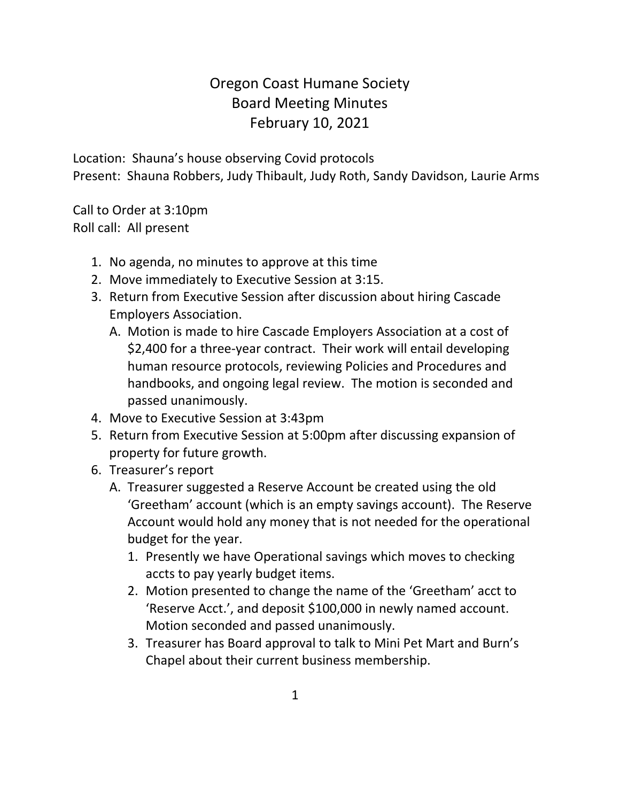## Oregon Coast Humane Society Board Meeting Minutes February 10, 2021

Location: Shauna's house observing Covid protocols Present: Shauna Robbers, Judy Thibault, Judy Roth, Sandy Davidson, Laurie Arms

Call to Order at 3:10pm Roll call: All present

- 1. No agenda, no minutes to approve at this time
- 2. Move immediately to Executive Session at 3:15.
- 3. Return from Executive Session after discussion about hiring Cascade Employers Association.
	- A. Motion is made to hire Cascade Employers Association at a cost of \$2,400 for a three-year contract. Their work will entail developing human resource protocols, reviewing Policies and Procedures and handbooks, and ongoing legal review. The motion is seconded and passed unanimously.
- 4. Move to Executive Session at 3:43pm
- 5. Return from Executive Session at 5:00pm after discussing expansion of property for future growth.
- 6. Treasurer's report
	- A. Treasurer suggested a Reserve Account be created using the old 'Greetham' account (which is an empty savings account). The Reserve Account would hold any money that is not needed for the operational budget for the year.
		- 1. Presently we have Operational savings which moves to checking accts to pay yearly budget items.
		- 2. Motion presented to change the name of the 'Greetham' acct to 'Reserve Acct.', and deposit \$100,000 in newly named account. Motion seconded and passed unanimously.
		- 3. Treasurer has Board approval to talk to Mini Pet Mart and Burn's Chapel about their current business membership.